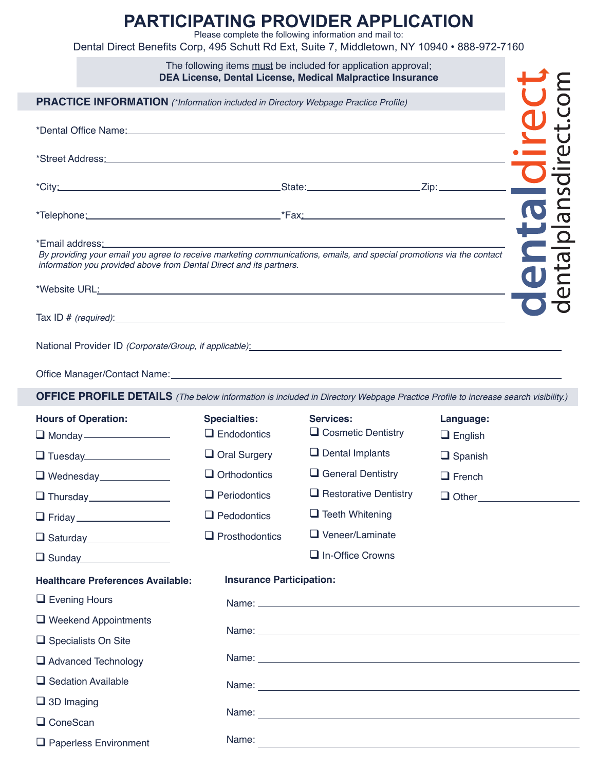## **PARTICIPATING PROVIDER APPLICATION**

Please complete the following information and mail to:

Dental Direct Benefits Corp, 495 Schutt Rd Ext, Suite 7, Middletown, NY 10940 • 888-972-7160

|                                                                                                                                                                                                                                                                                                                                                                                                                                                   |                                           | The following items must be included for application approval;<br>DEA License, Dental License, Medical Malpractice Insurance                                                                                                        |                             |                    |
|---------------------------------------------------------------------------------------------------------------------------------------------------------------------------------------------------------------------------------------------------------------------------------------------------------------------------------------------------------------------------------------------------------------------------------------------------|-------------------------------------------|-------------------------------------------------------------------------------------------------------------------------------------------------------------------------------------------------------------------------------------|-----------------------------|--------------------|
| <b>PRACTICE INFORMATION</b> (*Information included in Directory Webpage Practice Profile)                                                                                                                                                                                                                                                                                                                                                         |                                           |                                                                                                                                                                                                                                     |                             |                    |
| *Dental Office Name: Manual According to the Control of the Control of the Control of the Control of the Control of the Control of the Control of the Control of the Control of the Control of the Control of the Control of t                                                                                                                                                                                                                    |                                           |                                                                                                                                                                                                                                     |                             |                    |
|                                                                                                                                                                                                                                                                                                                                                                                                                                                   |                                           |                                                                                                                                                                                                                                     |                             |                    |
|                                                                                                                                                                                                                                                                                                                                                                                                                                                   |                                           |                                                                                                                                                                                                                                     |                             |                    |
|                                                                                                                                                                                                                                                                                                                                                                                                                                                   |                                           |                                                                                                                                                                                                                                     |                             |                    |
| *Email address:<br>By providing your email you agree to receive marketing communications, emails, and special promotions via the contact<br>information you provided above from Dental Direct and its partners.<br>*Website URL: And the contract of the contract of the contract of the contract of the contract of the contract of the contract of the contract of the contract of the contract of the contract of the contract of the contract |                                           |                                                                                                                                                                                                                                     |                             | $\frac{Q}{\sigma}$ |
| Tax ID $#$ (required): $#$ (required):                                                                                                                                                                                                                                                                                                                                                                                                            |                                           |                                                                                                                                                                                                                                     |                             |                    |
| National Provider ID (Corporate/Group, if applicable): Mation Mathematical Provider ID (Corporate/Group, if applicable)                                                                                                                                                                                                                                                                                                                           |                                           |                                                                                                                                                                                                                                     |                             |                    |
|                                                                                                                                                                                                                                                                                                                                                                                                                                                   |                                           |                                                                                                                                                                                                                                     |                             |                    |
| <b>OFFICE PROFILE DETAILS</b> (The below information is included in Directory Webpage Practice Profile to increase search visibility.)                                                                                                                                                                                                                                                                                                            |                                           |                                                                                                                                                                                                                                     |                             |                    |
| <b>Hours of Operation:</b>                                                                                                                                                                                                                                                                                                                                                                                                                        | <b>Specialties:</b><br>$\Box$ Endodontics | <b>Services:</b><br>$\Box$ Cosmetic Dentistry                                                                                                                                                                                       | Language:<br>$\Box$ English |                    |
|                                                                                                                                                                                                                                                                                                                                                                                                                                                   | $\Box$ Oral Surgery                       | $\Box$ Dental Implants                                                                                                                                                                                                              | $\Box$ Spanish              |                    |
| Wednesday                                                                                                                                                                                                                                                                                                                                                                                                                                         | $\Box$ Orthodontics                       | $\Box$ General Dentistry                                                                                                                                                                                                            | $\Box$ French               |                    |
| <b>Thursday</b>                                                                                                                                                                                                                                                                                                                                                                                                                                   | $\Box$ Periodontics                       | $\Box$ Restorative Dentistry                                                                                                                                                                                                        | $\Box$ Other                |                    |
| <b>T</b> Friday ___________________                                                                                                                                                                                                                                                                                                                                                                                                               | $\Box$ Pedodontics                        | $\Box$ Teeth Whitening                                                                                                                                                                                                              |                             |                    |
| Saturday_________________                                                                                                                                                                                                                                                                                                                                                                                                                         | $\Box$ Prosthodontics                     | $\Box$ Veneer/Laminate                                                                                                                                                                                                              |                             |                    |
| $\Box$ Sunday                                                                                                                                                                                                                                                                                                                                                                                                                                     |                                           | $\Box$ In-Office Crowns                                                                                                                                                                                                             |                             |                    |
| <b>Healthcare Preferences Available:</b>                                                                                                                                                                                                                                                                                                                                                                                                          | <b>Insurance Participation:</b>           |                                                                                                                                                                                                                                     |                             |                    |
| $\Box$ Evening Hours                                                                                                                                                                                                                                                                                                                                                                                                                              |                                           |                                                                                                                                                                                                                                     |                             |                    |
| $\Box$ Weekend Appointments                                                                                                                                                                                                                                                                                                                                                                                                                       |                                           |                                                                                                                                                                                                                                     |                             |                    |
| $\Box$ Specialists On Site                                                                                                                                                                                                                                                                                                                                                                                                                        |                                           |                                                                                                                                                                                                                                     |                             |                    |
| Advanced Technology                                                                                                                                                                                                                                                                                                                                                                                                                               |                                           | Name: <u>Name:</u> Name: Name: Name: Name: Name: Name: Name: Name: Name: Name: Name: Name: Name: Name: Name: Name: Name: Name: Name: Name: Name: Name: Name: Name: Name: Name: Name: Name: Name: Name: Name: Name: Name: Name: Name |                             |                    |
| $\Box$ Sedation Available                                                                                                                                                                                                                                                                                                                                                                                                                         |                                           |                                                                                                                                                                                                                                     |                             |                    |
| $\Box$ 3D Imaging                                                                                                                                                                                                                                                                                                                                                                                                                                 |                                           |                                                                                                                                                                                                                                     |                             |                    |
| $\Box$ ConeScan                                                                                                                                                                                                                                                                                                                                                                                                                                   |                                           |                                                                                                                                                                                                                                     |                             |                    |
| Paperless Environment                                                                                                                                                                                                                                                                                                                                                                                                                             | Name:                                     | <u> 1989 - Johann Stoff, deutscher Stoff, der Stoff, der Stoff, der Stoff, der Stoff, der Stoff, der Stoff, der S</u>                                                                                                               |                             |                    |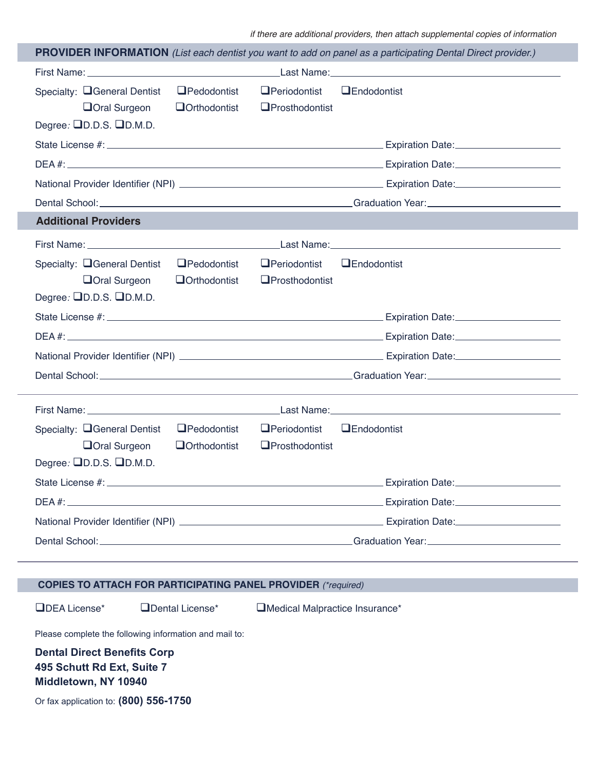if there are additional providers, then attach supplemental copies of information

|                                                                                                         | <b>PROVIDER INFORMATION</b> (List each dentist you want to add on panel as a participating Dental Direct provider.) |
|---------------------------------------------------------------------------------------------------------|---------------------------------------------------------------------------------------------------------------------|
|                                                                                                         |                                                                                                                     |
| Specialty: <b>Q</b> General Dentist<br>$\Box$ Pedodontist<br><b>Oral Surgeon</b><br>$\Box$ Orthodontist | $\Box$ Periodontist<br>$\Box$ Endodontist<br>$\Box$ Prosthodontist                                                  |
| Degree: $\Box$ D.D.S. $\Box$ D.M.D.                                                                     |                                                                                                                     |
|                                                                                                         |                                                                                                                     |
|                                                                                                         |                                                                                                                     |
|                                                                                                         |                                                                                                                     |
|                                                                                                         |                                                                                                                     |
| <b>Additional Providers</b>                                                                             |                                                                                                                     |
|                                                                                                         |                                                                                                                     |
| Specialty: □ General Dentist<br>$\Box$ Pedodontist                                                      | $\Box$ Periodontist<br>$\Box$ Endodontist                                                                           |
| <b>Oral Surgeon</b><br>$\Box$ Orthodontist                                                              | $\Box$ Prosthodontist                                                                                               |
| Degree: $\Box$ D.D.S. $\Box$ D.M.D.                                                                     |                                                                                                                     |
|                                                                                                         |                                                                                                                     |
|                                                                                                         |                                                                                                                     |
|                                                                                                         |                                                                                                                     |
|                                                                                                         |                                                                                                                     |
|                                                                                                         |                                                                                                                     |
|                                                                                                         |                                                                                                                     |
| Specialty: <b>Q</b> General Dentist<br>$\Box$ Pedodontist                                               | $\Box$ Periodontist<br>$\Box$ Endodontist                                                                           |
| <b>Oral Surgeon</b><br><b>Q</b> Orthodontist<br>Degree: $\Box$ D.D.S. $\Box$ D.M.D.                     | $\Box$ Prosthodontist                                                                                               |
| State License #: _________                                                                              |                                                                                                                     |
|                                                                                                         | Expiration Date: ________                                                                                           |
|                                                                                                         |                                                                                                                     |
|                                                                                                         |                                                                                                                     |
|                                                                                                         |                                                                                                                     |
|                                                                                                         |                                                                                                                     |
| <b>COPIES TO ATTACH FOR PARTICIPATING PANEL PROVIDER (*required)</b>                                    |                                                                                                                     |
| <b>ODEA</b> License*<br>Dental License*                                                                 | Medical Malpractice Insurance*                                                                                      |

Please complete the following information and mail to:

**Dental Direct Benefits Corp 495 Schutt Rd Ext, Suite 7 Middletown, NY 10940**

Or fax application to: **(800) 556-1750**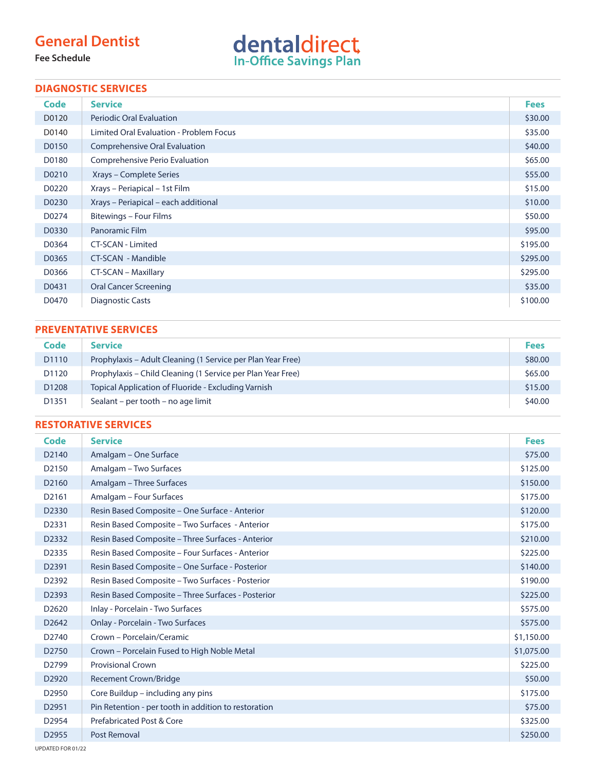## **General Dentist**

**Fee Schedule**



#### **DIAGNOSTIC SERVICES**

| Code  | <b>Service</b>                          | <b>Fees</b> |
|-------|-----------------------------------------|-------------|
| D0120 | <b>Periodic Oral Evaluation</b>         | \$30.00     |
| D0140 | Limited Oral Evaluation - Problem Focus | \$35.00     |
| D0150 | Comprehensive Oral Evaluation           | \$40.00     |
| D0180 | Comprehensive Perio Evaluation          | \$65.00     |
| D0210 | Xrays – Complete Series                 | \$55.00     |
| D0220 | Xrays - Periapical - 1st Film           | \$15.00     |
| D0230 | Xrays - Periapical - each additional    | \$10.00     |
| D0274 | Bitewings - Four Films                  | \$50.00     |
| D0330 | Panoramic Film                          | \$95.00     |
| D0364 | CT-SCAN - Limited                       | \$195.00    |
| D0365 | CT-SCAN - Mandible                      | \$295.00    |
| D0366 | CT-SCAN - Maxillary                     | \$295.00    |
| D0431 | <b>Oral Cancer Screening</b>            | \$35.00     |
| D0470 | <b>Diagnostic Casts</b>                 | \$100.00    |

#### **PREVENTATIVE SERVICES**

| Code              | <b>Service</b>                                              | <b>Fees</b> |
|-------------------|-------------------------------------------------------------|-------------|
| D <sub>1110</sub> | Prophylaxis – Adult Cleaning (1 Service per Plan Year Free) | \$80.00     |
| D1120             | Prophylaxis – Child Cleaning (1 Service per Plan Year Free) | \$65.00     |
| D <sub>1208</sub> | Topical Application of Fluoride - Excluding Varnish         | \$15.00     |
| D1351             | Sealant – per tooth – no age limit                          | \$40.00     |

#### **RESTORATIVE SERVICES**

| Code              | <b>Service</b>                                       | <b>Fees</b> |
|-------------------|------------------------------------------------------|-------------|
| D <sub>2140</sub> | Amalgam - One Surface                                | \$75.00     |
| D <sub>2150</sub> | Amalgam – Two Surfaces                               | \$125.00    |
| D <sub>2160</sub> | Amalgam - Three Surfaces                             | \$150.00    |
| D2161             | Amalgam - Four Surfaces                              | \$175.00    |
| D2330             | Resin Based Composite - One Surface - Anterior       | \$120.00    |
| D2331             | Resin Based Composite - Two Surfaces - Anterior      | \$175.00    |
| D <sub>2332</sub> | Resin Based Composite - Three Surfaces - Anterior    | \$210.00    |
| D2335             | Resin Based Composite - Four Surfaces - Anterior     | \$225.00    |
| D2391             | Resin Based Composite - One Surface - Posterior      | \$140.00    |
| D <sub>2392</sub> | Resin Based Composite - Two Surfaces - Posterior     | \$190.00    |
| D2393             | Resin Based Composite - Three Surfaces - Posterior   | \$225.00    |
| D <sub>2620</sub> | Inlay - Porcelain - Two Surfaces                     | \$575.00    |
| D <sub>2642</sub> | <b>Onlay - Porcelain - Two Surfaces</b>              | \$575.00    |
| D <sub>2740</sub> | Crown - Porcelain/Ceramic                            | \$1,150.00  |
| D <sub>2750</sub> | Crown - Porcelain Fused to High Noble Metal          | \$1,075.00  |
| D <sub>2799</sub> | <b>Provisional Crown</b>                             | \$225.00    |
| D <sub>2920</sub> | <b>Recement Crown/Bridge</b>                         | \$50.00     |
| D <sub>2950</sub> | Core Buildup – including any pins                    | \$175.00    |
| D2951             | Pin Retention - per tooth in addition to restoration | \$75.00     |
| D2954             | Prefabricated Post & Core                            | \$325.00    |
| D2955             | Post Removal                                         | \$250.00    |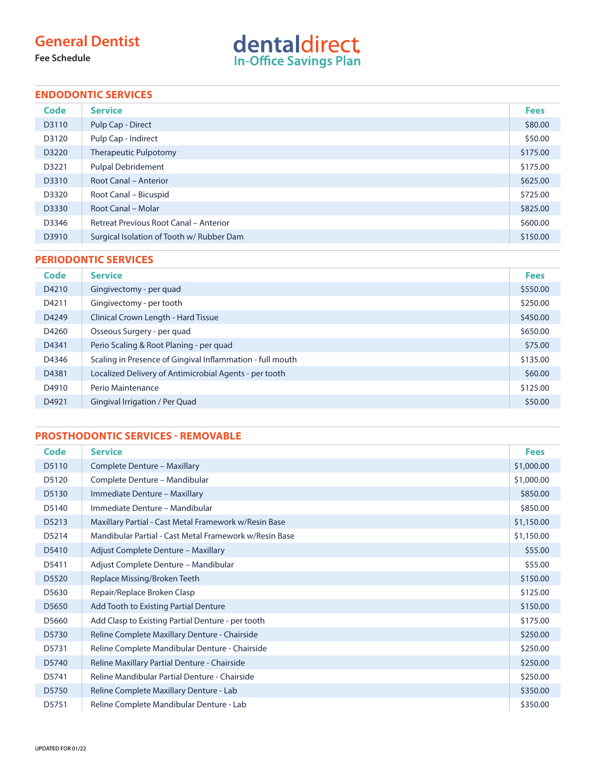## **General Dentist**

**Fee Schedule**

# dentaldirect

### **ENDODONTIC SERVICES**

| <b>Code</b> | <b>Service</b>                                | <b>Fees</b> |
|-------------|-----------------------------------------------|-------------|
| D3110       | Pulp Cap - Direct                             | \$80.00     |
| D3120       | Pulp Cap - Indirect                           | \$50.00     |
| D3220       | <b>Therapeutic Pulpotomy</b>                  | \$175.00    |
| D3221       | <b>Pulpal Debridement</b>                     | \$175.00    |
| D3310       | <b>Root Canal - Anterior</b>                  | \$625.00    |
| D3320       | Root Canal - Bicuspid                         | \$725.00    |
| D3330       | Root Canal - Molar                            | \$825.00    |
| D3346       | <b>Retreat Previous Root Canal - Anterior</b> | \$600.00    |
| D3910       | Surgical Isolation of Tooth w/ Rubber Dam     | \$150.00    |

#### **PERIODONTIC SERVICES**

| Code  | <b>Service</b>                                            | <b>Fees</b> |
|-------|-----------------------------------------------------------|-------------|
| D4210 | Gingivectomy - per quad                                   | \$550.00    |
| D4211 | Gingivectomy - per tooth                                  | \$250.00    |
| D4249 | Clinical Crown Length - Hard Tissue                       | \$450.00    |
| D4260 | Osseous Surgery - per quad                                | \$650.00    |
| D4341 | Perio Scaling & Root Planing - per quad                   | \$75.00     |
| D4346 | Scaling in Presence of Gingival Inflammation - full mouth | \$135.00    |
| D4381 | Localized Delivery of Antimicrobial Agents - per tooth    | \$60.00     |
| D4910 | Perio Maintenance                                         | \$125.00    |
| D4921 | Gingival Irrigation / Per Quad                            | \$50.00     |

### **PROSTHODONTIC SERVICES - REMOVABLE**

| Code  | <b>Service</b>                                         | <b>Fees</b> |
|-------|--------------------------------------------------------|-------------|
| D5110 | Complete Denture - Maxillary                           | \$1,000.00  |
| D5120 | Complete Denture - Mandibular                          | \$1,000.00  |
| D5130 | Immediate Denture - Maxillary                          | \$850.00    |
| D5140 | Immediate Denture - Mandibular                         | \$850.00    |
| D5213 | Maxillary Partial - Cast Metal Framework w/Resin Base  | \$1,150.00  |
| D5214 | Mandibular Partial - Cast Metal Framework w/Resin Base | \$1,150.00  |
| D5410 | Adjust Complete Denture - Maxillary                    | \$55.00     |
| D5411 | Adjust Complete Denture - Mandibular                   | \$55.00     |
| D5520 | Replace Missing/Broken Teeth                           | \$150.00    |
| D5630 | Repair/Replace Broken Clasp                            | \$125.00    |
| D5650 | Add Tooth to Existing Partial Denture                  | \$150.00    |
| D5660 | Add Clasp to Existing Partial Denture - per tooth      | \$175.00    |
| D5730 | Reline Complete Maxillary Denture - Chairside          | \$250.00    |
| D5731 | Reline Complete Mandibular Denture - Chairside         | \$250.00    |
| D5740 | Reline Maxillary Partial Denture - Chairside           | \$250.00    |
| D5741 | Reline Mandibular Partial Denture - Chairside          | \$250.00    |
| D5750 | Reline Complete Maxillary Denture - Lab                | \$350.00    |
| D5751 | Reline Complete Mandibular Denture - Lab               | \$350.00    |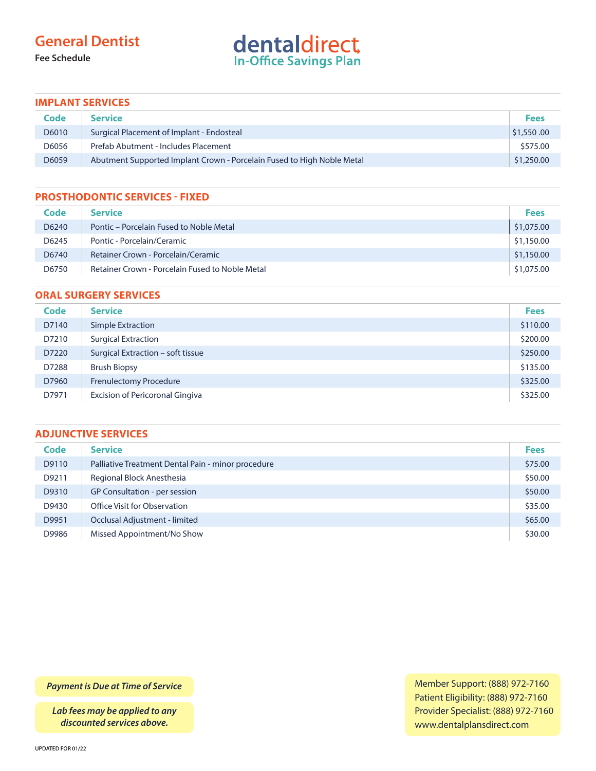## **General Dentist**

**Fee Schedule**

# dentaldirect

#### **IMPLANT SERVICES**

| Code  | <b>Service</b>                                                         | <b>Fees</b> |
|-------|------------------------------------------------------------------------|-------------|
| D6010 | Surgical Placement of Implant - Endosteal                              | \$1,550.00  |
| D6056 | Prefab Abutment - Includes Placement                                   | \$575.00    |
| D6059 | Abutment Supported Implant Crown - Porcelain Fused to High Noble Metal | \$1,250.00  |

#### **PROSTHODONTIC SERVICES - FIXED**

| Code  | <b>Service</b>                                  | <b>Fees</b> |
|-------|-------------------------------------------------|-------------|
| D6240 | Pontic – Porcelain Fused to Noble Metal         | \$1,075.00  |
| D6245 | Pontic - Porcelain/Ceramic                      | \$1,150.00  |
| D6740 | Retainer Crown - Porcelain/Ceramic              | \$1,150.00  |
| D6750 | Retainer Crown - Porcelain Fused to Noble Metal | \$1,075.00  |

#### **ORAL SURGERY SERVICES**

| <b>Code</b> | <b>Service</b>                         | <b>Fees</b> |
|-------------|----------------------------------------|-------------|
| D7140       | Simple Extraction                      | \$110.00    |
| D7210       | <b>Surgical Extraction</b>             | \$200.00    |
| D7220       | Surgical Extraction - soft tissue      | \$250.00    |
| D7288       | <b>Brush Biopsy</b>                    | \$135.00    |
| D7960       | <b>Frenulectomy Procedure</b>          | \$325.00    |
| D7971       | <b>Excision of Pericoronal Gingiva</b> | \$325.00    |

### **ADJUNCTIVE SERVICES**

| <b>Code</b> | <b>Service</b>                                     | <b>Fees</b> |
|-------------|----------------------------------------------------|-------------|
| D9110       | Palliative Treatment Dental Pain - minor procedure | \$75.00     |
| D9211       | Regional Block Anesthesia                          | \$50.00     |
| D9310       | GP Consultation - per session                      | \$50.00     |
| D9430       | Office Visit for Observation                       | \$35.00     |
| D9951       | Occlusal Adjustment - limited                      | \$65.00     |
| D9986       | Missed Appointment/No Show                         | \$30.00     |

*Payment is Due at Time of Service*

*Lab fees may be applied to any discounted services above.*

Member Support: (888) 972-7160 Patient Eligibility: (888) 972-7160 Provider Specialist: (888) 972-7160 www.dentalplansdirect.com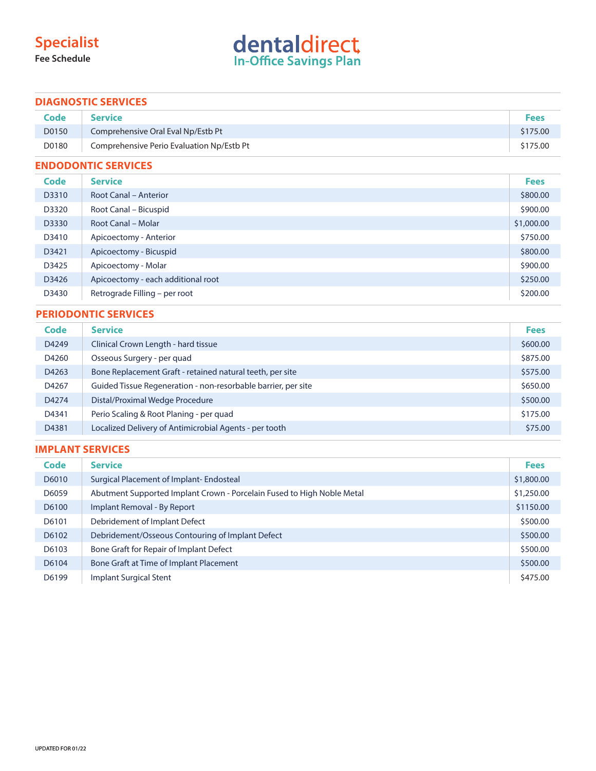## **Specialist**

**Fee Schedule**

# dentaldirect

#### **DIAGNOSTIC SERVICES**

| Code  | <b>Service</b>                            | <b>Fees</b> |
|-------|-------------------------------------------|-------------|
| D0150 | Comprehensive Oral Eval Np/Estb Pt        | \$175.00    |
| D0180 | Comprehensive Perio Evaluation Np/Estb Pt | \$175.00    |

#### **ENDODONTIC SERVICES**

| Code  | <b>Service</b>                     | <b>Fees</b> |
|-------|------------------------------------|-------------|
| D3310 | <b>Root Canal - Anterior</b>       | \$800.00    |
| D3320 | Root Canal – Bicuspid              | \$900.00    |
| D3330 | Root Canal - Molar                 | \$1,000.00  |
| D3410 | Apicoectomy - Anterior             | \$750.00    |
| D3421 | Apicoectomy - Bicuspid             | \$800.00    |
| D3425 | Apicoectomy - Molar                | \$900.00    |
| D3426 | Apicoectomy - each additional root | \$250.00    |
| D3430 | Retrograde Filling - per root      | \$200.00    |

#### **PERIODONTIC SERVICES**

| Code  | <b>Service</b>                                                | <b>Fees</b> |
|-------|---------------------------------------------------------------|-------------|
| D4249 | Clinical Crown Length - hard tissue                           | \$600.00    |
| D4260 | Osseous Surgery - per quad                                    | \$875.00    |
| D4263 | Bone Replacement Graft - retained natural teeth, per site     | \$575.00    |
| D4267 | Guided Tissue Regeneration - non-resorbable barrier, per site | \$650.00    |
| D4274 | Distal/Proximal Wedge Procedure                               | \$500.00    |
| D4341 | Perio Scaling & Root Planing - per quad                       | \$175.00    |
| D4381 | Localized Delivery of Antimicrobial Agents - per tooth        | \$75.00     |

#### **IMPLANT SERVICES**

| Code  | <b>Service</b>                                                         | <b>Fees</b> |
|-------|------------------------------------------------------------------------|-------------|
| D6010 | Surgical Placement of Implant-Endosteal                                | \$1,800.00  |
| D6059 | Abutment Supported Implant Crown - Porcelain Fused to High Noble Metal | \$1,250.00  |
| D6100 | Implant Removal - By Report                                            | \$1150.00   |
| D6101 | Debridement of Implant Defect                                          | \$500.00    |
| D6102 | Debridement/Osseous Contouring of Implant Defect                       | \$500.00    |
| D6103 | Bone Graft for Repair of Implant Defect                                | \$500.00    |
| D6104 | Bone Graft at Time of Implant Placement                                | \$500.00    |
| D6199 | Implant Surgical Stent                                                 | \$475.00    |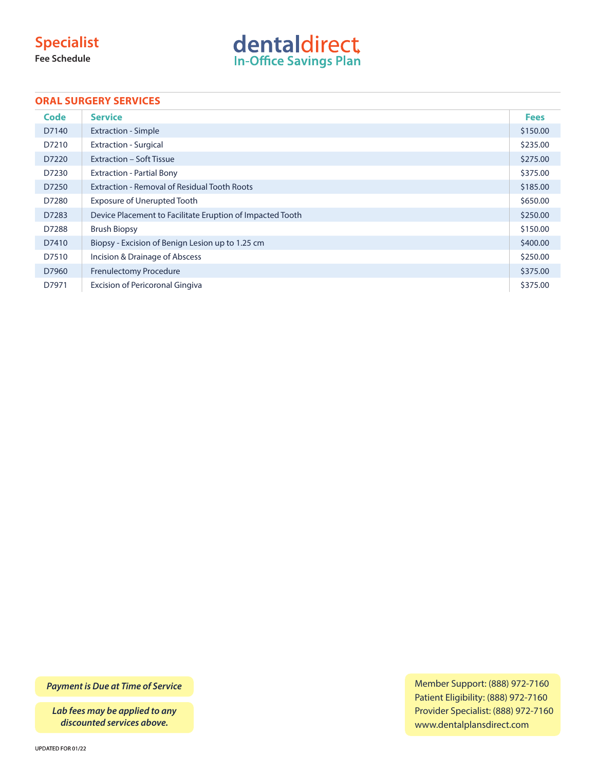## **Specialist**

**Fee Schedule**



#### **ORAL SURGERY SERVICES**

| Code  | <b>Service</b>                                            | <b>Fees</b> |
|-------|-----------------------------------------------------------|-------------|
| D7140 | <b>Extraction - Simple</b>                                | \$150.00    |
| D7210 | <b>Extraction - Surgical</b>                              | \$235.00    |
| D7220 | Extraction - Soft Tissue                                  | \$275.00    |
| D7230 | <b>Extraction - Partial Bony</b>                          | \$375.00    |
| D7250 | <b>Extraction - Removal of Residual Tooth Roots</b>       | \$185.00    |
| D7280 | Exposure of Unerupted Tooth                               | \$650.00    |
| D7283 | Device Placement to Facilitate Eruption of Impacted Tooth | \$250.00    |
| D7288 | <b>Brush Biopsy</b>                                       | \$150.00    |
| D7410 | Biopsy - Excision of Benign Lesion up to 1.25 cm          | \$400.00    |
| D7510 | Incision & Drainage of Abscess                            | \$250.00    |
| D7960 | <b>Frenulectomy Procedure</b>                             | \$375.00    |
| D7971 | <b>Excision of Pericoronal Gingiva</b>                    | \$375.00    |

*Payment is Due at Time of Service*

*Lab fees may be applied to any discounted services above.*

Member Support: (888) 972-7160 Patient Eligibility: (888) 972-7160 Provider Specialist: (888) 972-7160 www.dentalplansdirect.com